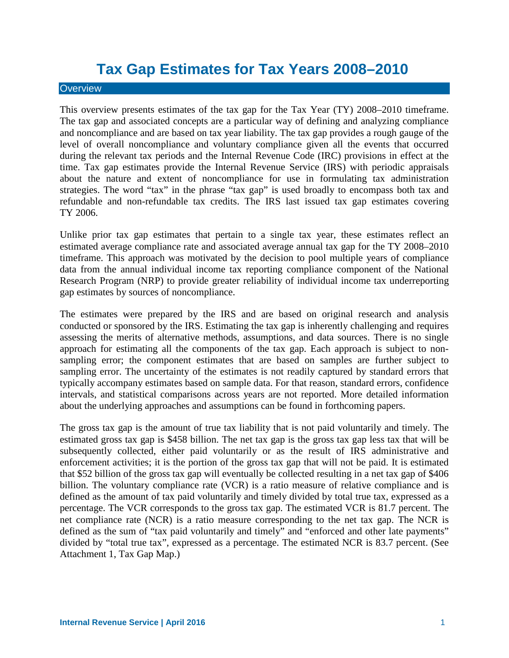# **Tax Gap Estimates for Tax Years 2008–2010**

### **Overview**

This overview presents estimates of the tax gap for the Tax Year (TY) 2008–2010 timeframe. The tax gap and associated concepts are a particular way of defining and analyzing compliance and noncompliance and are based on tax year liability. The tax gap provides a rough gauge of the level of overall noncompliance and voluntary compliance given all the events that occurred during the relevant tax periods and the Internal Revenue Code (IRC) provisions in effect at the time. Tax gap estimates provide the Internal Revenue Service (IRS) with periodic appraisals about the nature and extent of noncompliance for use in formulating tax administration strategies. The word "tax" in the phrase "tax gap" is used broadly to encompass both tax and refundable and non-refundable tax credits. The IRS last issued tax gap estimates covering TY 2006.

Unlike prior tax gap estimates that pertain to a single tax year, these estimates reflect an estimated average compliance rate and associated average annual tax gap for the TY 2008–2010 timeframe. This approach was motivated by the decision to pool multiple years of compliance data from the annual individual income tax reporting compliance component of the National Research Program (NRP) to provide greater reliability of individual income tax underreporting gap estimates by sources of noncompliance.

The estimates were prepared by the IRS and are based on original research and analysis conducted or sponsored by the IRS. Estimating the tax gap is inherently challenging and requires assessing the merits of alternative methods, assumptions, and data sources. There is no single approach for estimating all the components of the tax gap. Each approach is subject to nonsampling error; the component estimates that are based on samples are further subject to sampling error. The uncertainty of the estimates is not readily captured by standard errors that typically accompany estimates based on sample data. For that reason, standard errors, confidence intervals, and statistical comparisons across years are not reported. More detailed information about the underlying approaches and assumptions can be found in forthcoming papers.

The gross tax gap is the amount of true tax liability that is not paid voluntarily and timely. The estimated gross tax gap is \$458 billion. The net tax gap is the gross tax gap less tax that will be subsequently collected, either paid voluntarily or as the result of IRS administrative and enforcement activities; it is the portion of the gross tax gap that will not be paid. It is estimated that \$52 billion of the gross tax gap will eventually be collected resulting in a net tax gap of \$406 billion. The voluntary compliance rate (VCR) is a ratio measure of relative compliance and is defined as the amount of tax paid voluntarily and timely divided by total true tax, expressed as a percentage. The VCR corresponds to the gross tax gap. The estimated VCR is 81.7 percent. The net compliance rate (NCR) is a ratio measure corresponding to the net tax gap. The NCR is defined as the sum of "tax paid voluntarily and timely" and "enforced and other late payments" divided by "total true tax", expressed as a percentage. The estimated NCR is 83.7 percent. (See Attachment 1, Tax Gap Map.)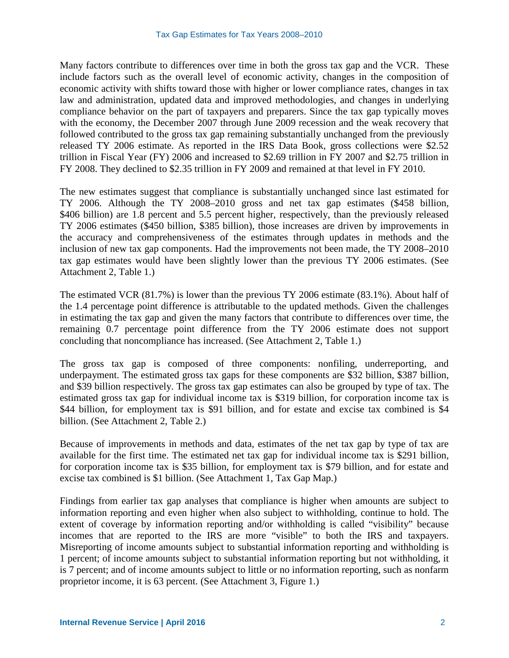Many factors contribute to differences over time in both the gross tax gap and the VCR. These include factors such as the overall level of economic activity, changes in the composition of economic activity with shifts toward those with higher or lower compliance rates, changes in tax law and administration, updated data and improved methodologies, and changes in underlying compliance behavior on the part of taxpayers and preparers. Since the tax gap typically moves with the economy, the December 2007 through June 2009 recession and the weak recovery that followed contributed to the gross tax gap remaining substantially unchanged from the previously released TY 2006 estimate. As reported in the IRS Data Book, gross collections were \$2.52 trillion in Fiscal Year (FY) 2006 and increased to \$2.69 trillion in FY 2007 and \$2.75 trillion in FY 2008. They declined to \$2.35 trillion in FY 2009 and remained at that level in FY 2010.

The new estimates suggest that compliance is substantially unchanged since last estimated for TY 2006. Although the TY 2008–2010 gross and net tax gap estimates (\$458 billion, \$406 billion) are 1.8 percent and 5.5 percent higher, respectively, than the previously released TY 2006 estimates (\$450 billion, \$385 billion), those increases are driven by improvements in the accuracy and comprehensiveness of the estimates through updates in methods and the inclusion of new tax gap components. Had the improvements not been made, the TY 2008–2010 tax gap estimates would have been slightly lower than the previous TY 2006 estimates. (See Attachment 2, Table 1.)

The estimated VCR (81.7%) is lower than the previous TY 2006 estimate (83.1%). About half of the 1.4 percentage point difference is attributable to the updated methods. Given the challenges in estimating the tax gap and given the many factors that contribute to differences over time, the remaining 0.7 percentage point difference from the TY 2006 estimate does not support concluding that noncompliance has increased. (See Attachment 2, Table 1.)

The gross tax gap is composed of three components: nonfiling, underreporting, and underpayment. The estimated gross tax gaps for these components are \$32 billion, \$387 billion, and \$39 billion respectively. The gross tax gap estimates can also be grouped by type of tax. The estimated gross tax gap for individual income tax is \$319 billion, for corporation income tax is \$44 billion, for employment tax is \$91 billion, and for estate and excise tax combined is \$4 billion. (See Attachment 2, Table 2.)

Because of improvements in methods and data, estimates of the net tax gap by type of tax are available for the first time. The estimated net tax gap for individual income tax is \$291 billion, for corporation income tax is \$35 billion, for employment tax is \$79 billion, and for estate and excise tax combined is \$1 billion. (See Attachment 1, Tax Gap Map.)

Findings from earlier tax gap analyses that compliance is higher when amounts are subject to information reporting and even higher when also subject to withholding, continue to hold. The extent of coverage by information reporting and/or withholding is called "visibility" because incomes that are reported to the IRS are more "visible" to both the IRS and taxpayers. Misreporting of income amounts subject to substantial information reporting and withholding is 1 percent; of income amounts subject to substantial information reporting but not withholding, it is 7 percent; and of income amounts subject to little or no information reporting, such as nonfarm proprietor income, it is 63 percent. (See Attachment 3, Figure 1.)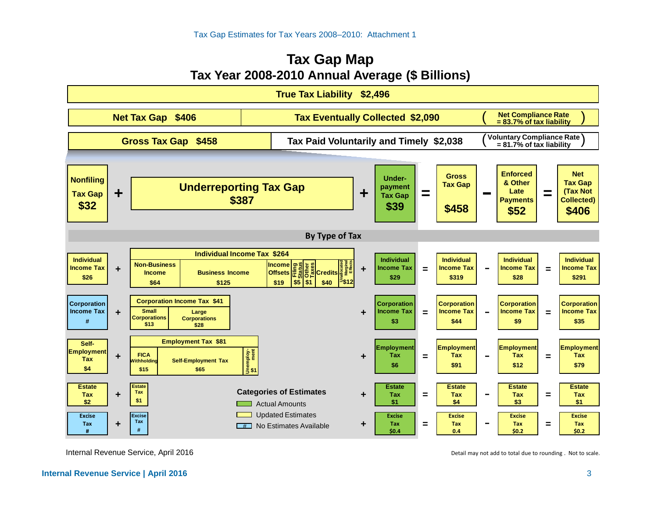### **Tax Gap Map Tax Year 2008-2010 Annual Average (\$ Billions)**



Internal Revenue Service, April 2016

Detail may not add to total due to rounding . Not to scale.

#### **Internal Revenue Service | April 2016** 3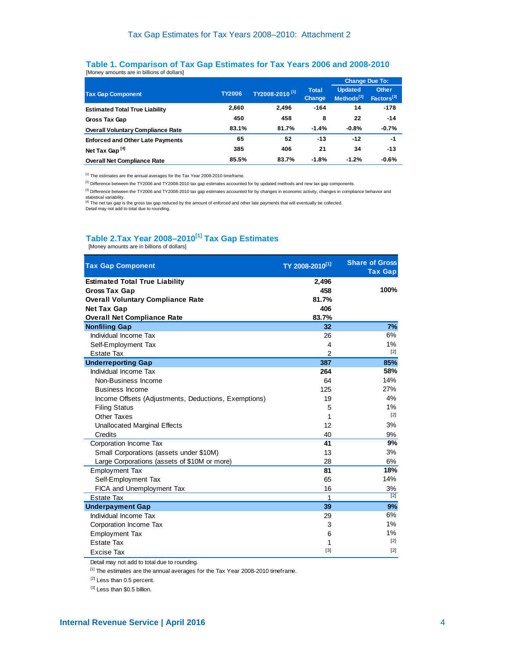#### **Table 1. Comparison of Tax Gap Estimates for Tax Years 2006 and 2008-2010** [Money amounts are in billions of dollars]

|                                          |               |                            |                        | <b>Change Due To:</b>                    |                                        |
|------------------------------------------|---------------|----------------------------|------------------------|------------------------------------------|----------------------------------------|
| <b>Tax Gap Component</b>                 | <b>TY2006</b> | TY2008-2010 <sup>[1]</sup> | <b>Total</b><br>Change | <b>Updated</b><br>Methods <sup>[2]</sup> | <b>Other</b><br>Factors <sup>[3]</sup> |
| <b>Estimated Total True Liability</b>    | 2,660         | 2.496                      | $-164$                 | 14                                       | $-178$                                 |
| Gross Tax Gap                            | 450           | 458                        | 8                      | 22                                       | $-14$                                  |
| <b>Overall Voluntary Compliance Rate</b> | 83.1%         | 81.7%                      | $-1.4%$                | $-0.8%$                                  | $-0.7%$                                |
| <b>Enforced and Other Late Payments</b>  | 65            | 52                         | $-13$                  | $-12$                                    | $-1$                                   |
| Net Tax Gap <sup>[4]</sup>               | 385           | 406                        | 21                     | 34                                       | $-13$                                  |
| <b>Overall Net Compliance Rate</b>       | 85.5%         | 83.7%                      | $-1.8%$                | $-1.2%$                                  | $-0.6%$                                |

[1] The estimates are the annual averages for the Tax Year 2008-2010 timeframe.

<sup>[2]</sup> Difference between the TY2006 and TY2008-2010 tax gap estimates accounted for by updated methods and new tax gap components.

<sup>[3]</sup> Difference between the TY2006 and TY2008-2010 tax gap estimates accounted for by changes in economic activity, changes in compliance behavior and statistical variability.

<sup>[4]</sup> The net tax gap is the gross tax gap reduced by the amount of enforced and other late payments that will eventually be collected.<br>Detail may not add to total due to rounding.

## **Table 2.Tax Year 2008-2010<sup>[1]</sup> Tax Gap Estimates**<br>
[Money amounts are in billions of dollars]

| <b>Tax Gap Component</b>                             | TY 2008-2010 <sup>[1]</sup> | <b>Share of Gross</b><br><b>Tax Gap</b> |
|------------------------------------------------------|-----------------------------|-----------------------------------------|
| <b>Estimated Total True Liability</b>                | 2,496                       |                                         |
| <b>Gross Tax Gap</b>                                 | 458                         | 100%                                    |
| <b>Overall Voluntary Compliance Rate</b>             | 81.7%                       |                                         |
| <b>Net Tax Gap</b>                                   | 406                         |                                         |
| <b>Overall Net Compliance Rate</b>                   | 83.7%                       |                                         |
| <b>Nonfiling Gap</b>                                 | 32                          | 7%                                      |
| Individual Income Tax                                | 26                          | 6%                                      |
| Self-Employment Tax                                  | $\overline{4}$              | 1%                                      |
| <b>Estate Tax</b>                                    | $\overline{2}$              | $[2]$                                   |
| <b>Underreporting Gap</b>                            | 387                         | 85%                                     |
| Individual Income Tax                                | 264                         | 58%                                     |
| Non-Business Income                                  | 64                          | 14%                                     |
| <b>Business Income</b>                               | 125                         | 27%                                     |
| Income Offsets (Adjustments, Deductions, Exemptions) | 19                          | 4%                                      |
| <b>Filing Status</b>                                 | 5                           | 1%                                      |
| Other Taxes                                          | 1                           | $[2]$                                   |
| <b>Unallocated Marginal Effects</b>                  | 12                          | 3%                                      |
| Credits                                              | 40                          | 9%                                      |
| Corporation Income Tax                               | 41                          | 9%                                      |
| Small Corporations (assets under \$10M)              | 13                          | 3%                                      |
| Large Corporations (assets of \$10M or more)         | 28                          | 6%                                      |
| <b>Employment Tax</b>                                | 81                          | 18%                                     |
| Self-Employment Tax                                  | 65                          | 14%                                     |
| FICA and Unemployment Tax                            | 16                          | 3%                                      |
| <b>Estate Tax</b>                                    | 1                           | $[2]$                                   |
| <b>Underpayment Gap</b>                              | 39                          | 9%                                      |
| Individual Income Tax                                | 29                          | 6%                                      |
| Corporation Income Tax                               | 3                           | $1\%$                                   |
| <b>Employment Tax</b>                                | 6                           | 1%                                      |
| <b>Estate Tax</b>                                    | 1                           | $[2]$                                   |
| Excise Tax                                           | $[3]$                       | $[2]$                                   |

Detail may not add to total due to rounding.

[1] The estimates are the annual averages for the Tax Year 2008-2010 timeframe.

<sup>[2]</sup> Less than 0.5 percent.

[3] Less than \$0.5 billion.